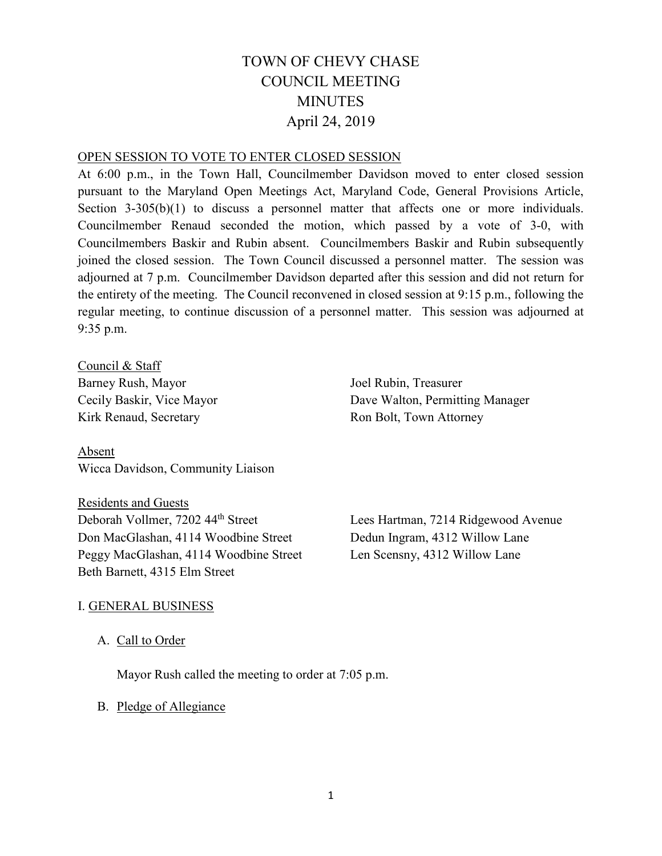# TOWN OF CHEVY CHASE COUNCIL MEETING **MINUTES** April 24, 2019

### OPEN SESSION TO VOTE TO ENTER CLOSED SESSION

At 6:00 p.m., in the Town Hall, Councilmember Davidson moved to enter closed session pursuant to the Maryland Open Meetings Act, Maryland Code, General Provisions Article, Section 3-305(b)(1) to discuss a personnel matter that affects one or more individuals. Councilmember Renaud seconded the motion, which passed by a vote of 3-0, with Councilmembers Baskir and Rubin absent. Councilmembers Baskir and Rubin subsequently joined the closed session. The Town Council discussed a personnel matter. The session was adjourned at 7 p.m. Councilmember Davidson departed after this session and did not return for the entirety of the meeting. The Council reconvened in closed session at 9:15 p.m., following the regular meeting, to continue discussion of a personnel matter. This session was adjourned at 9:35 p.m.

Council & Staff Barney Rush, Mayor Cecily Baskir, Vice Mayor Kirk Renaud, Secretary

Absent Wicca Davidson, Community Liaison

Residents and Guests Deborah Vollmer, 7202 44th Street Don MacGlashan, 4114 Woodbine Street Peggy MacGlashan, 4114 Woodbine Street Beth Barnett, 4315 Elm Street

Joel Rubin, Treasurer Dave Walton, Permitting Manager Ron Bolt, Town Attorney

Lees Hartman, 7214 Ridgewood Avenue Dedun Ingram, 4312 Willow Lane Len Scensny, 4312 Willow Lane

# I. GENERAL BUSINESS

A. Call to Order

Mayor Rush called the meeting to order at 7:05 p.m.

### B. Pledge of Allegiance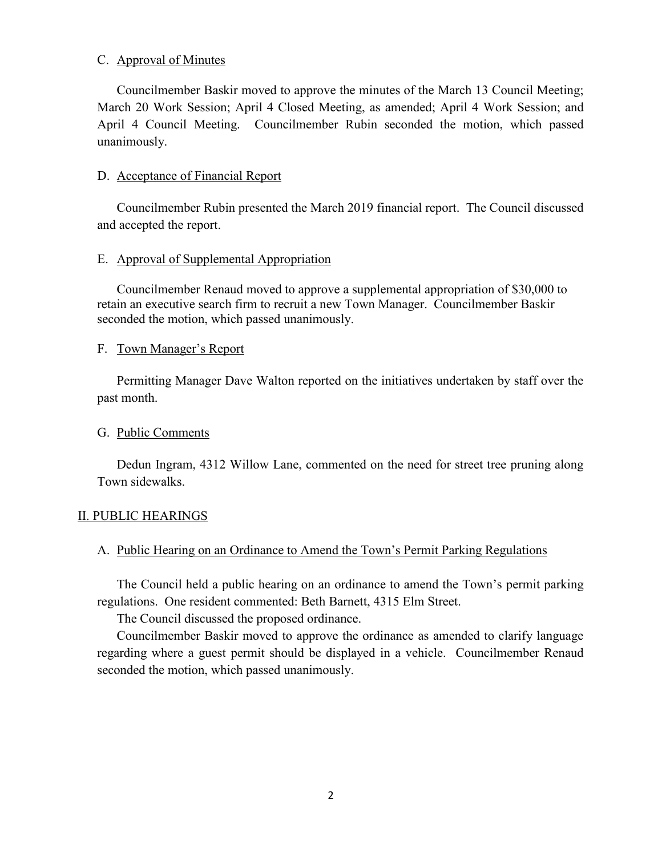# C. Approval of Minutes

Councilmember Baskir moved to approve the minutes of the March 13 Council Meeting; March 20 Work Session; April 4 Closed Meeting, as amended; April 4 Work Session; and April 4 Council Meeting. Councilmember Rubin seconded the motion, which passed unanimously.

# D. Acceptance of Financial Report

Councilmember Rubin presented the March 2019 financial report. The Council discussed and accepted the report.

# E. Approval of Supplemental Appropriation

Councilmember Renaud moved to approve a supplemental appropriation of \$30,000 to retain an executive search firm to recruit a new Town Manager. Councilmember Baskir seconded the motion, which passed unanimously.

# F. Town Manager's Report

Permitting Manager Dave Walton reported on the initiatives undertaken by staff over the past month.

# G. Public Comments

Dedun Ingram, 4312 Willow Lane, commented on the need for street tree pruning along Town sidewalks.

# II. PUBLIC HEARINGS

# A. Public Hearing on an Ordinance to Amend the Town's Permit Parking Regulations

The Council held a public hearing on an ordinance to amend the Town's permit parking regulations. One resident commented: Beth Barnett, 4315 Elm Street.

The Council discussed the proposed ordinance.

Councilmember Baskir moved to approve the ordinance as amended to clarify language regarding where a guest permit should be displayed in a vehicle. Councilmember Renaud seconded the motion, which passed unanimously.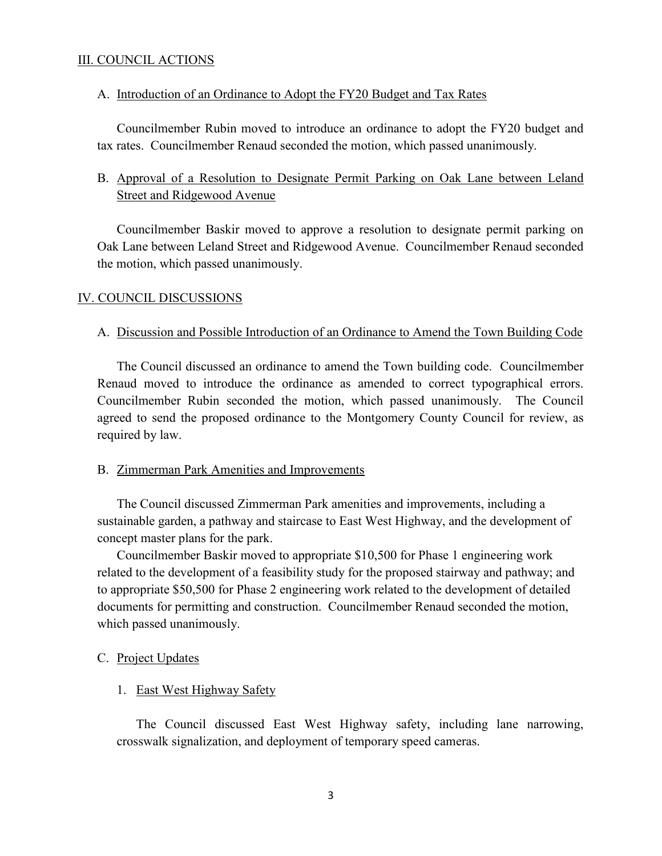# III. COUNCIL ACTIONS

### A. Introduction of an Ordinance to Adopt the FY20 Budget and Tax Rates

Councilmember Rubin moved to introduce an ordinance to adopt the FY20 budget and tax rates. Councilmember Renaud seconded the motion, which passed unanimously.

# B. Approval of a Resolution to Designate Permit Parking on Oak Lane between Leland Street and Ridgewood Avenue

Councilmember Baskir moved to approve a resolution to designate permit parking on Oak Lane between Leland Street and Ridgewood Avenue. Councilmember Renaud seconded the motion, which passed unanimously.

### IV. COUNCIL DISCUSSIONS

### A. Discussion and Possible Introduction of an Ordinance to Amend the Town Building Code

The Council discussed an ordinance to amend the Town building code. Councilmember Renaud moved to introduce the ordinance as amended to correct typographical errors. Councilmember Rubin seconded the motion, which passed unanimously. The Council agreed to send the proposed ordinance to the Montgomery County Council for review, as required by law.

#### B. Zimmerman Park Amenities and Improvements

The Council discussed Zimmerman Park amenities and improvements, including a sustainable garden, a pathway and staircase to East West Highway, and the development of concept master plans for the park.

Councilmember Baskir moved to appropriate \$10,500 for Phase 1 engineering work related to the development of a feasibility study for the proposed stairway and pathway; and to appropriate \$50,500 for Phase 2 engineering work related to the development of detailed documents for permitting and construction. Councilmember Renaud seconded the motion, which passed unanimously.

### C. Project Updates

### 1. East West Highway Safety

The Council discussed East West Highway safety, including lane narrowing, crosswalk signalization, and deployment of temporary speed cameras.